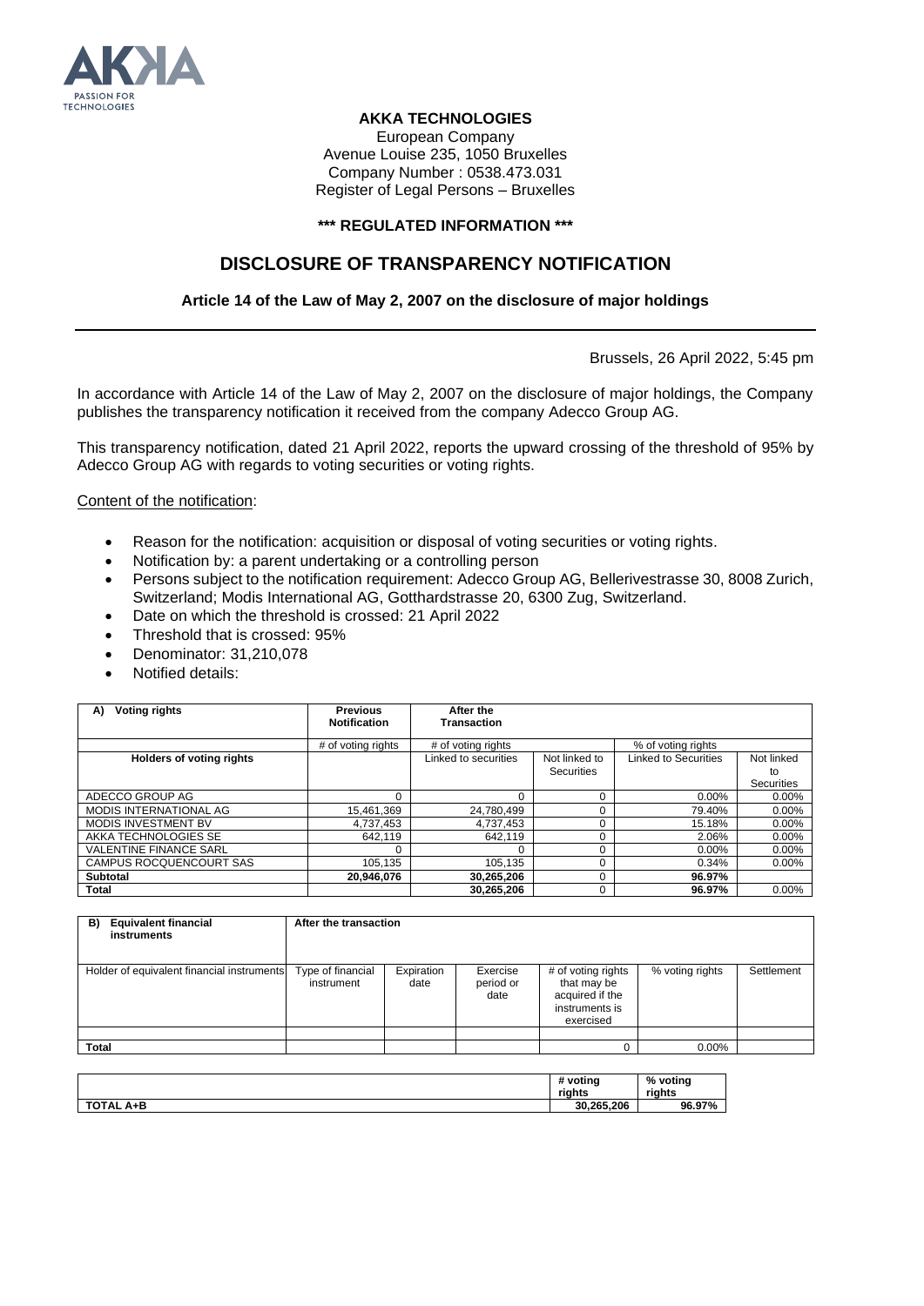

## **AKKA TECHNOLOGIES**

European Company Avenue Louise 235, 1050 Bruxelles Company Number : 0538.473.031 Register of Legal Persons – Bruxelles

## **\*\*\* REGULATED INFORMATION \*\*\***

## **DISCLOSURE OF TRANSPARENCY NOTIFICATION**

## **Article 14 of the Law of May 2, 2007 on the disclosure of major holdings**

Brussels, 26 April 2022, 5:45 pm

In accordance with Article 14 of the Law of May 2, 2007 on the disclosure of major holdings, the Company publishes the transparency notification it received from the company Adecco Group AG.

This transparency notification, dated 21 April 2022, reports the upward crossing of the threshold of 95% by Adecco Group AG with regards to voting securities or voting rights.

Content of the notification:

- Reason for the notification: acquisition or disposal of voting securities or voting rights.
- Notification by: a parent undertaking or a controlling person
- Persons subject to the notification requirement: Adecco Group AG, Bellerivestrasse 30, 8008 Zurich, Switzerland; Modis International AG, Gotthardstrasse 20, 6300 Zug, Switzerland.
- Date on which the threshold is crossed: 21 April 2022
- Threshold that is crossed: 95%
- Denominator: 31,210,078
- Notified details:

| <b>Voting rights</b><br>A)      | <b>Previous</b><br><b>Notification</b> | After the<br><b>Transaction</b> |               |                      |                  |
|---------------------------------|----------------------------------------|---------------------------------|---------------|----------------------|------------------|
|                                 | # of voting rights                     | # of voting rights              |               | % of voting rights   |                  |
| <b>Holders of voting rights</b> |                                        | Linked to securities            | Not linked to | Linked to Securities | Not linked       |
|                                 |                                        |                                 | Securities    |                      | to<br>Securities |
| ADECCO GROUP AG                 | $\Omega$                               |                                 |               | $0.00\%$             | $0.00\%$         |
| <b>MODIS INTERNATIONAL AG</b>   | 15.461.369                             | 24.780.499                      |               | 79.40%               | $0.00\%$         |
| <b>MODIS INVESTMENT BV</b>      | 4.737.453                              | 4,737,453                       |               | 15.18%               | $0.00\%$         |
| AKKA TECHNOLOGIES SE            | 642.119                                | 642.119                         |               | 2.06%                | 0.00%            |
| <b>VALENTINE FINANCE SARL</b>   | 0                                      |                                 |               | $0.00\%$             | $0.00\%$         |
| CAMPUS ROCQUENCOURT SAS         | 105.135                                | 105.135                         |               | 0.34%                | $0.00\%$         |
| Subtotal                        | 20.946.076                             | 30,265,206                      |               | 96.97%               |                  |
| <b>Total</b>                    |                                        | 30.265.206                      |               | 96.97%               | $0.00\%$         |

| <b>Equivalent financial</b><br>B)<br>instruments | After the transaction           |                    |                               |                                                                                     |                 |            |
|--------------------------------------------------|---------------------------------|--------------------|-------------------------------|-------------------------------------------------------------------------------------|-----------------|------------|
| Holder of equivalent financial instruments       | Type of financial<br>instrument | Expiration<br>date | Exercise<br>period or<br>date | # of voting rights<br>that may be<br>acquired if the<br>instruments is<br>exercised | % voting rights | Settlement |
|                                                  |                                 |                    |                               |                                                                                     |                 |            |
| <b>Total</b>                                     |                                 |                    |                               |                                                                                     | 0.00%           |            |

|                     | # voting<br>riahts | % voting<br>riahts |
|---------------------|--------------------|--------------------|
| <b>TOTAL</b><br>A+B | 30.265.206         | 96.97%             |